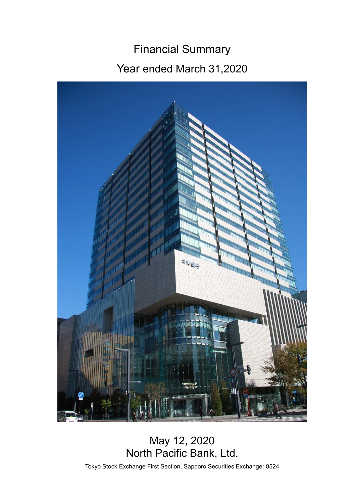# Financial Summary Year ended March 31,2020



# May 12, 2020 North Pacific Bank, Ltd.

Tokyo Stock Exchange First Section, Sapporo Securities Exchange: 8524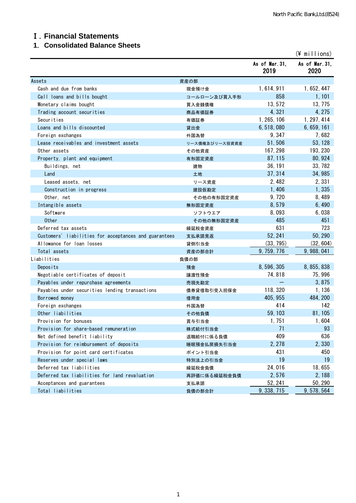#### Ⅰ.**Financial Statements**

#### **1**.**Consolidated Balance Sheets**

|                                                       |                |                        | $(\frac{2}{3})$ millions) |
|-------------------------------------------------------|----------------|------------------------|---------------------------|
|                                                       |                | As of Mar. 31,<br>2019 | As of Mar. 31,<br>2020    |
| Assets                                                | 資産の部           |                        |                           |
| Cash and due from banks                               | 現金預け金          | 1, 614, 911            | 1, 652, 447               |
| Call loans and bills bought                           | コールローン及び買入手形   | 858                    | 1,101                     |
| Monetary claims bought                                | 買入金銭債権         | 13, 572                | 13, 775                   |
| Trading account securities                            | 商品有価証券         | 4,321                  | 4, 275                    |
| Securities                                            | 有価証券           | 1, 265, 106            | 1, 297, 414               |
| Loans and bills discounted                            | 貸出金            | 6, 518, 080            | 6, 659, 161               |
| Foreign exchanges                                     | 外国為替           | 9, 347                 | 7,682                     |
| Lease receivables and investment assets               | リース債権及びリース投資資産 | 51,506                 | 53, 128                   |
| Other assets                                          | その他資産          | 167, 298               | 193, 230                  |
| Property, plant and equipment                         | 有形固定資産         | 87, 115                | 80, 924                   |
| Buildings, net                                        | 建物             | 36, 191                | 33, 782                   |
| Land                                                  | 土地             | 37, 314                | 34, 985                   |
| Leased assets, net                                    | リース資産          | 2,482                  | 2,331                     |
| Construction in progress                              | 建設仮勘定          | 1,406                  | 1,335                     |
| Other, net                                            | その他の有形固定資産     | 9,720                  | 8,489                     |
| Intangible assets                                     | 無形固定資産         | 8,579                  | 6,490                     |
| Software                                              | ソフトウエア         | 8,093                  | 6,038                     |
| <b>Other</b>                                          | その他の無形固定資産     | 485                    | 451                       |
| Deferred tax assets                                   | 繰延税金資産         | 631                    | 723                       |
| Customers' liabilities for acceptances and guarantees | 支払承諾見返         | 52, 241                | 50, 290                   |
| Allowance for loan losses                             | 貸倒引当金          | (33, 795)              | (32, 604)                 |
| Total assets                                          | 資産の部合計         | 9, 759, 776            | 9, 988, 041               |
| Liabilities                                           | 負債の部           |                        |                           |
| Deposits                                              | 預金             | 8, 596, 305            | 8, 855, 838               |
| Negotiable certificates of deposit                    | 讓渡性預金          | 74,818                 | 75, 996                   |
| Payables under repurchase agreements                  | 売現先勘定          |                        | 3,875                     |
| Payables under securities lending transactions        | 債券貸借取引受入担保金    | 118, 320               | 1,136                     |
| Borrowed money                                        | 借用金            | 405, 955               | 484, 200                  |
| Foreign exchanges                                     | 外国為替           | 414                    | 142                       |
| Other liabilities                                     | その他負債          | 59, 103                | 81, 105                   |
| Provision for bonuses                                 | 賞与引当金          | 1,751                  | 1,604                     |
| Provision for share-based remuneration                | 株式給付引当金        | 71                     | 93                        |
| Net defined benefit liability                         | 退職給付に係る負債      | 409                    | 636                       |
| Provision for reimbursement of deposits               | 睡眠預金払戻損失引当金    | 2, 278                 | 2,330                     |
| Provision for point card certificates                 | ポイント引当金        | 431                    | 450                       |
| Reserves under special laws                           | 特別法上の引当金       | 19                     | 19                        |
| Deferred tax liabilities                              | 繰延税金負債         | 24,016                 | 18,655                    |
| Deferred tax liabilities for land revaluation         | 再評価に係る繰延税金負債   | 2,576                  | 2, 188                    |
| Acceptances and guarantees                            | 支払承諾           | 52, 241                | 50, 290                   |
| Total liabilities                                     | 負債の部合計         | 9, 338, 715            | 9, 578, 564               |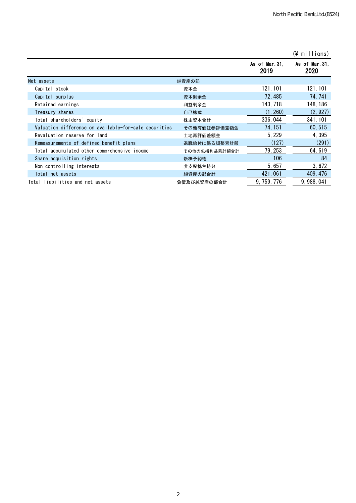|                                                       |               |                       | $(\frac{2}{3})$ millions) |
|-------------------------------------------------------|---------------|-----------------------|---------------------------|
|                                                       |               | As of Mar.31,<br>2019 | As of Mar. 31,<br>2020    |
| Net assets                                            | 純資産の部         |                       |                           |
| Capital stock                                         | 資本金           | 121, 101              | 121, 101                  |
| Capital surplus                                       | 資本剰余金         | 72,485                | 74, 741                   |
| Retained earnings                                     | 利益剰余金         | 143, 718              | 148, 186                  |
| Treasury shares                                       | 自己株式          | (1, 260)              | (2, 927)                  |
| Total shareholders'equity                             | 株主資本合計        | 336, 044              | 341, 101                  |
| Valuation difference on available-for-sale securities | その他有価証券評価差額金  | 74, 151               | 60, 515                   |
| Revaluation reserve for land                          | 土地再評価差額金      | 5, 229                | 4,395                     |
| Remeasurements of defined benefit plans               | 退職給付に係る調整累計額  | (127)                 | (291)                     |
| Total accumulated other comprehensive income          | その他の包括利益累計額合計 | 79, 253               | 64, 619                   |
| Share acquisition rights                              | 新株予約権         | 106                   | 84                        |
| Non-controlling interests                             | 非支配株主持分       | 5, 657                | 3,672                     |
| Total net assets                                      | 純資産の部合計       | 421, 061              | 409, 476                  |
| Total liabilities and net assets                      | 負債及び純資産の部合計   | 9, 759, 776           | 9, 988, 041               |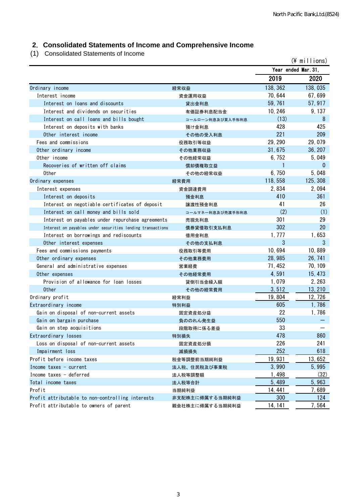# **2**.**Consolidated Statements of Income and Comprehensive Income**

(1) Consolidated Statements of Income

|                                                            |                  |                     | (¥ millions) |
|------------------------------------------------------------|------------------|---------------------|--------------|
|                                                            |                  | Year ended Mar. 31, |              |
|                                                            |                  | 2019                | 2020         |
| Ordinary income                                            | 経常収益             | 138, 362            | 138,035      |
| Interest income                                            | 資金運用収益           | 70, 644             | 67,699       |
| Interest on loans and discounts                            | 貸出金利息            | 59, 761             | 57, 917      |
| Interest and dividends on securities                       | 有価証券利息配当金        | 10, 246             | 9,137        |
| Interest on call loans and bills bought                    | コールローン利息及び買入手形利息 | (13)                | 8            |
| Interest on deposits with banks                            | 預け金利息            | 428                 | 425          |
| Other interest income                                      | その他の受入利息         | 221                 | 209          |
| Fees and commissions                                       | 役務取引等収益          | 29, 290             | 29,079       |
| Other ordinary income                                      | その他業務収益          | 31,675              | 36, 207      |
| Other income                                               | その他経常収益          | 6,752               | 5,049        |
| Recoveries of written off claims                           | 償却債権取立益          | 1                   | 0            |
| 0ther                                                      | その他の経常収益         | 6,750               | 5,048        |
| Ordinary expenses                                          | 経常費用             | 118,558             | 125, 308     |
| Interest expenses                                          | 資金調達費用           | 2,834               | 2,094        |
| Interest on deposits                                       | 預金利息             | 410                 | 361          |
| Interest on negotiable certificates of deposit             | 讓渡性預金利息          | 41                  | 26           |
| Interest on call money and bills sold                      | コールマネー利息及び売渡手形利息 | (2)                 | (1)          |
| Interest on payables under repurchase agreements           | 売現先利息            | 301                 | 29           |
| Interest on payables under securities lending transactions | 債券貸借取引支払利息       | 302                 | 20           |
| Interest on borrowings and rediscounts                     | 借用金利息            | 1, 777              | 1,653        |
| Other interest expenses                                    | その他の支払利息         | 3                   | 3            |
| Fees and commissions payments                              | 役務取引等費用          | 10,694              | 10,889       |
| Other ordinary expenses                                    | その他業務費用          | 28, 985             | 26, 741      |
| General and administrative expenses                        | 営業経費             | 71, 452             | 70, 109      |
| Other expenses                                             | その他経常費用          | 4,591               | 15, 473      |
| Provision of allowance for loan losses                     | 貸倒引当金繰入額         | 1,079               | 2, 263       |
| <b>Other</b>                                               | その他の経常費用         | 3, 512              | 13, 210      |
| Ordinary profit                                            | 経常利益             | 19,804              | 12, 726      |
| Extraordinary income                                       | 特別利益             | 605                 | 1,786        |
| Gain on disposal of non-current assets                     | 固定資産処分益          | 22                  | 1,786        |
| Gain on bargain purchase                                   | 負ののれん発生益         | 550                 |              |
| Gain on step acquisitions                                  | 段階取得に係る差益        | 33                  |              |
| Extraordinary losses                                       | 特別損失             | 478                 | 860          |
| Loss on disposal of non-current assets                     | 固定資産処分損          | 226                 | 241          |
| Impairment loss                                            | 減損損失             | 252                 | 618          |
| Profit before income taxes                                 | 税金等調整前当期純利益      | 19,931              | 13,652       |
| Income taxes $-$ current                                   | 法人税、住民税及び事業税     | 3,990               | 5,995        |
| Income taxes - deferred                                    | 法人税等調整額          | 1,498               | (32)         |
| Total income taxes                                         | 法人税等合計           | 5,489               | 5,963        |
| Profit                                                     | 当期純利益            | 14, 441             | 7,689        |
| Profit attributable to non-controlling interests           | 非支配株主に帰属する当期純利益  | 300                 | 124          |
| Profit attributable to owners of parent                    | 親会社株主に帰属する当期純利益  | 14, 141             | 7,564        |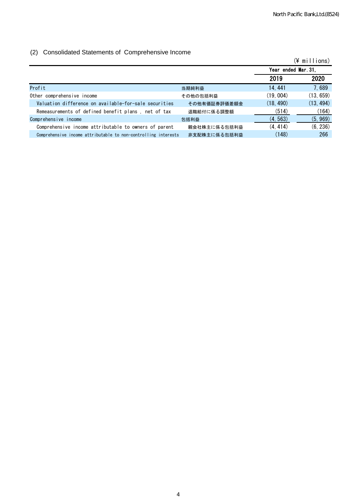#### (2) Consolidated Statements of Comprehensive Income

| $\sim$                                                         |              |                     | $(\frac{2}{3})$ millions) |
|----------------------------------------------------------------|--------------|---------------------|---------------------------|
|                                                                |              | Year ended Mar. 31, |                           |
|                                                                |              | 2019                | 2020                      |
| Profit                                                         | 当期純利益        | 14.441              | 7,689                     |
| Other comprehensive income                                     | その他の包括利益     | (19, 004)           | (13, 659)                 |
| Valuation difference on available-for-sale securities          | その他有価証券評価差額金 | (18, 490)           | (13, 494)                 |
| Remeasurements of defined benefit plans, net of tax            | 退職給付に係る調整額   | (514)               | (164)                     |
| Comprehensive income                                           | 包括利益         | (4, 563)            | (5, 969)                  |
| Comprehensive income attributable to owners of parent          | 親会社株主に係る包括利益 | (4, 414)            | (6, 236)                  |
| Comprehensive income attributable to non-controlling interests | 非支配株主に係る包括利益 | (148)               | 266                       |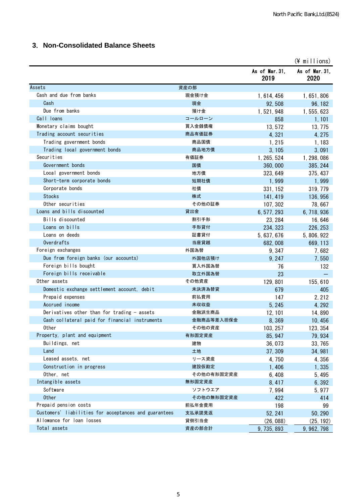# **3**.**Non-Consolidated Balance Sheets**

|                                                       |            |                        | $(\frac{4}{3}$ millions) |
|-------------------------------------------------------|------------|------------------------|--------------------------|
|                                                       |            | As of Mar. 31,<br>2019 | As of Mar. 31,<br>2020   |
| Assets                                                | 資産の部       |                        |                          |
| Cash and due from banks                               | 現金預け金      | 1, 614, 456            | 1, 651, 806              |
| Cash                                                  | 現金         | 92,508                 | 96, 182                  |
| Due from banks                                        | 預け金        | 1, 521, 948            | 1, 555, 623              |
| Call loans                                            | コールローン     | 858                    | 1,101                    |
| Monetary claims bought                                | 買入金銭債権     | 13,572                 | 13, 775                  |
| Trading account securities                            | 商品有価証券     | 4,321                  | 4, 275                   |
| Trading government bonds                              | 商品国債       | 1, 215                 | 1,183                    |
| Trading local government bonds                        | 商品地方債      | 3, 105                 | 3,091                    |
| Securities                                            | 有価証券       | 1, 265, 524            | 1, 298, 086              |
| Government bonds                                      | 国債         | 360,000                | 385, 244                 |
| Local government bonds                                | 地方債        | 323, 649               | 375, 437                 |
| Short-term corporate bonds                            | 短期社債       | 1,999                  | 1,999                    |
| Corporate bonds                                       | 社債         | 331, 152               | 319, 779                 |
| <b>Stocks</b>                                         | 株式         | 141, 419               | 136, 956                 |
| Other securities                                      | その他の証券     | 107, 302               | 78,667                   |
| Loans and bills discounted                            | 貸出金        | 6, 577, 293            | 6, 718, 936              |
| Bills discounted                                      | 割引手形       | 23, 284                | 16,646                   |
| Loans on bills                                        | 手形貸付       | 234, 323               | 226, 253                 |
| Loans on deeds                                        | 証書貸付       | 5, 637, 676            | 5, 806, 922              |
| Overdrafts                                            | 当座貸越       | 682,008                | 669, 113                 |
| Foreign exchanges                                     | 外国為替       | 9,347                  | 7,682                    |
| Due from foreign banks (our accounts)                 | 外国他店預け     | 9, 247                 | 7,550                    |
| Foreign bills bought                                  | 買入外国為替     | 76                     | 132                      |
| Foreign bills receivable                              | 取立外国為替     | 23                     |                          |
| Other assets                                          | その他資産      | 129, 801               | 155, 610                 |
| Domestic exchange settlement account, debit           | 未決済為替貸     | 679                    | 405                      |
| Prepaid expenses                                      | 前払費用       | 147                    | 2.212                    |
| Accrued income                                        | 未収収益       | 5, 245                 | 4, 292                   |
| Derivatives other than for trading - assets           | 金融派生商品     | 12, 101                | 14,890                   |
| Cash collateral paid for financial instruments        | 金融商品等差入担保金 | 8,369                  | 10,456                   |
| Other                                                 | その他の資産     | 103, 257               | 123, 354                 |
| Property, plant and equipment                         | 有形固定資産     | 85, 947                | 79, 934                  |
| Buildings, net                                        | 建物         | 36,073                 | 33, 765                  |
| Land                                                  | 土地         | 37, 309                | 34, 981                  |
| Leased assets, net                                    | リース資産      | 4,750                  | 4,356                    |
| Construction in progress                              | 建設仮勘定      | 1,406                  | 1,335                    |
| Other, net                                            | その他の有形固定資産 | 6,408                  | 5, 495                   |
| Intangible assets                                     | 無形固定資産     | 8, 417                 | 6,392                    |
| Software                                              | ソフトウエア     | 7,994                  | 5, 977                   |
| <b>Other</b>                                          | その他の無形固定資産 | 422                    | 414                      |
| Prepaid pension costs                                 | 前払年金費用     | 198                    | 99                       |
| Customers' liabilities for acceptances and guarantees | 支払承諾見返     | 52, 241                | 50, 290                  |
| Allowance for loan losses                             | 貸倒引当金      | (26, 088)              | (25, 192)                |
| Total assets                                          | 資産の部合計     | 9, 735, 893            | 9, 962, 798              |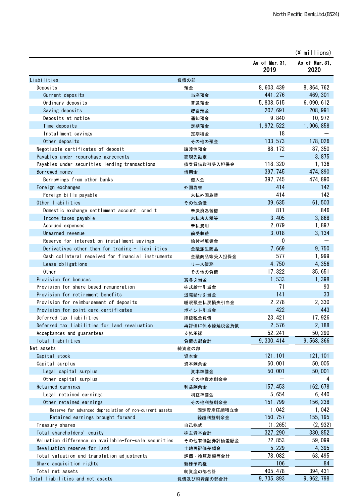|                                                         |              |                        | $(*)$ millions)        |
|---------------------------------------------------------|--------------|------------------------|------------------------|
|                                                         |              | As of Mar. 31,<br>2019 | As of Mar. 31,<br>2020 |
| Liabilities                                             | 負債の部         |                        |                        |
| Deposits                                                | 預金           | 8, 603, 439            | 8, 864, 762            |
| Current deposits                                        | 当座預金         | 441, 276               | 469, 301               |
| Ordinary deposits                                       | 普通預金         | 5, 838, 515            | 6, 090, 612            |
| Saving deposits                                         | 貯蓄預金         | 207, 691               | 208, 991               |
| Deposits at notice                                      | 通知預金         | 9,840                  | 10, 972                |
| Time deposits                                           | 定期預金         | 1, 972, 522            | 1,906,858              |
| Installment savings                                     | 定期積金         | 18                     |                        |
| Other deposits                                          | その他の預金       | 133, 573               | 178,026                |
| Negotiable certificates of deposit                      | 譲渡性預金        | 88, 172                | 87, 350                |
| Payables under repurchase agreements                    | 売現先勘定        |                        | 3,875                  |
| Payables under securities lending transactions          | 債券貸借取引受入担保金  | 118, 320               | 1,136                  |
| Borrowed money                                          | 借用金          | 397, 745               | 474,890                |
| Borrowings from other banks                             | 借入金          | 397, 745               | 474, 890               |
| Foreign exchanges                                       | 外国為替         | 414                    | 142                    |
| Foreign bills payable                                   | 未払外国為替       | 414                    | 142                    |
| Other liabilities                                       | その他負債        | 39,635                 | 61,503                 |
| Domestic exchange settlement account, credit            | 未決済為替借       | 811                    | 846                    |
| Income taxes payable                                    | 未払法人税等       | 3,405                  | 3,868                  |
| Accrued expenses                                        | 未払費用         | 2,079                  | 1,897                  |
| Unearned revenue                                        | 前受収益         | 3,018                  | 3, 134                 |
| Reserve for interest on installment savings             | 給付補填備金       | 0                      |                        |
| Derivatives other than for trading - liabilities        | 金融派生商品       | 7,669                  | 9,750                  |
| Cash collateral received for financial instruments      | 金融商品等受入担保金   | 577                    | 1,999                  |
| Lease obligations                                       | リース債務        | 4,750                  | 4,356                  |
| Other                                                   | その他の負債       | 17, 322                | 35, 651                |
| Provision for bonuses                                   | 賞与引当金        | 1,533                  | 1,398                  |
| Provision for share-based remuneration                  | 株式給付引当金      | 71                     | 93                     |
| Provision for retirement benefits                       | 退職給付引当金      | 141                    | 33                     |
| Provision for reimbursement of deposits                 | 睡眠預金払戻損失引当金  | 2, 278                 | 2,330                  |
| Provision for point card certificates                   | ポイント引当金      | 422                    | 443                    |
| Deferred tax liabilities                                | 繰延税金負債       | 23, 421                | 17,926                 |
| Deferred tax liabilities for land revaluation           | 再評価に係る繰延税金負債 | 2,576                  | 2, 188                 |
| Acceptances and guarantees                              | 支払承諾         | 52, 241                | 50, 290                |
| Total liabilities                                       | 負債の部合計       | 9, 330, 414            | 9, 568, 366            |
| Net assets                                              | 純資産の部        |                        |                        |
| Capital stock                                           | 資本金          | 121, 101               | 121, 101               |
| Capital surplus                                         | 資本剰余金        | 50,001                 | 50,005                 |
| Legal capital surplus                                   | 資本準備金        | 50,001                 | 50,001                 |
| Other capital surplus                                   | その他資本剰余金     |                        | 4                      |
| Retained earnings                                       | 利益剰余金        | 157, 453               | 162, 678               |
| Legal retained earnings                                 | 利益準備金        | 5,654                  | 6,440                  |
| Other retained earnings                                 | その他利益剰余金     | 151, 799               | 156, 238               |
| Reserve for advanced depreciation of non-current assets | 固定資産圧縮積立金    | 1,042                  | 1,042                  |
| Retained earnings brought forward                       | 繰越利益剰余金      | 150, 757               | 155, 195               |
| Treasury shares                                         | 自己株式         | (1, 265)               | (2, 932)               |
| Total shareholders' equity                              | 株主資本合計       | 327, 290               | 330, 852               |
| Valuation difference on available-for-sale securities   | その他有価証券評価差額金 | 72, 853                | 59,099                 |
| Revaluation reserve for land                            | 土地再評価差額金     | 5, 229                 | 4,395                  |
| Total valuation and translation adjustments             | 評価・換算差額等合計   | 78,082                 | 63, 495                |
| Share acquisition rights                                | 新株予約権        | 106                    | 84                     |
| Total net assets                                        | 純資産の部合計      | 405, 478               | 394, 431               |
| Total liabilities and net assets                        | 負債及び純資産の部合計  | 9, 735, 893            | 9, 962, 798            |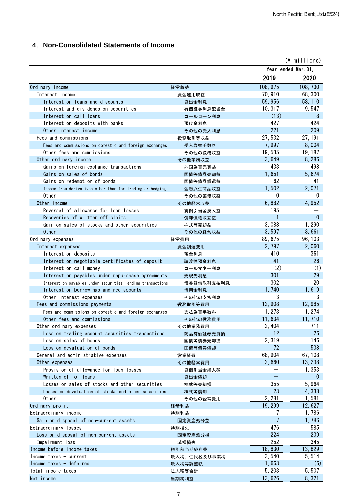# **4**.**Non-Consolidated Statements of Income**

|                                                                        |                 |                     | $(*)$ millions) |
|------------------------------------------------------------------------|-----------------|---------------------|-----------------|
|                                                                        |                 | Year ended Mar. 31. |                 |
|                                                                        |                 | 2019                | 2020            |
| Ordinary income                                                        | 経常収益            | 108, 975            | 108, 730        |
| Interest income                                                        | 資金運用収益          | 70, 910             | 68,300          |
| Interest on loans and discounts                                        | 貸出金利息           | 59,956              | 58, 110         |
| Interest and dividends on securities                                   | 有価証券利息配当金       | 10, 317             | 9,547           |
| Interest on call loans                                                 | コールローン利息        | (13)                | 8               |
| Interest on deposits with banks                                        | 預け金利息           | 427                 | 424             |
| Other interest income                                                  | その他の受入利息        | 221                 | 209             |
| Fees and commissions                                                   | 役務取引等収益         | 27,532              | 27, 191         |
| Fees and commissions on domestic and foreign exchanges                 | 受入為替手数料         | 7,997               | 8,004           |
| Other fees and commissions                                             | その他の役務収益        | 19, 535             | 19, 187         |
| Other ordinary income                                                  | その他業務収益         | 3,649               | 8,286           |
| Gains on foreign exchange transactions                                 | 外国為替売買益         | 433                 | 498             |
| Gains on sales of bonds                                                | 国債等債券売却益        | 1,651               | 5,674           |
| Gains on redemption of bonds                                           | 国債等債券償還益        | 62                  | 41              |
| Income from derivatives other than for trading or hedging              | 金融派生商品収益        | 1,502               | 2,071           |
| Other                                                                  | その他の業務収益        | 0                   | 0               |
| Other income                                                           | その他経常収益         | 6,882               | 4,952           |
| Reversal of allowance for loan losses                                  | 貸倒引当金戻入益        | 195                 |                 |
| Recoveries of written off claims                                       | 償却債権取立益         | 1                   | $\mathbf{0}$    |
| Gain on sales of stocks and other securities                           | 株式等売却益          | 3,088               | 1,290           |
| <b>Other</b>                                                           | その他の経常収益        | 3,597               | 3,661           |
| Ordinary expenses                                                      | 経常費用            | 89, 675             | 96, 103         |
| Interest expenses                                                      | 資金調達費用          | 2, 797<br>410       | 2,060<br>361    |
| Interest on deposits<br>Interest on negotiable certificates of deposit | 預金利息<br>讓渡性預金利息 | 41                  | 26              |
| Interest on call money                                                 | コールマネー利息        | (2)                 | (1)             |
| Interest on payables under repurchase agreements                       | 売現先利息           | 301                 | 29              |
| Interest on payables under securities lending transactions             | 債券貸借取引支払利息      | 302                 | 20              |
| Interest on borrowings and rediscounts                                 | 借用金利息           | 1,740               | 1,619           |
| Other interest expenses                                                | その他の支払利息        | 3                   |                 |
| Fees and commissions payments                                          | 役務取引等費用         | 12,908              | 12,985          |
| Fees and commissions on domestic and foreign exchanges                 | 支払為替手数料         | 1, 273              | 1, 274          |
| Other fees and commissions                                             | その他の役務費用        | 11.634              | 11,710          |
| Other ordinary expenses                                                | その他業務費用         | 2,404               | 711             |
| Loss on trading account securities transactions                        | 商品有価証券売買損       | 12                  | 26              |
| Loss on sales of bonds                                                 | 国債等債券売却損        | 2,319               | 146             |
| Loss on devaluation of bonds                                           | 国債等債券償却         | 72                  | 538             |
| General and administrative expenses                                    | 営業経費            | 68, 904             | 67, 108         |
| Other expenses                                                         | その他経常費用         | 2,660               | 13, 238         |
| Provision of allowance for loan losses                                 | 貸倒引当金繰入額        |                     | 1,353           |
| Written-off of loans                                                   | 貸出金償却           |                     | $\bf{0}$        |
| Losses on sales of stocks and other securities                         | 株式等売却損          | 355                 | 5,964           |
| Losses on devaluation of stocks and other securities                   | 株式等償却           | 23                  | 4,338           |
| Other                                                                  | その他の経常費用        | 2, 281              | 1,581           |
| Ordinary profit                                                        | 経常利益            | 19, 299             | 12,627          |
| Extraordinary income                                                   | 特別利益            | 7                   | 1,786           |
| Gain on disposal of non-current assets                                 | 固定資産処分益         | 7                   | 1,786           |
| Extraordinary losses                                                   | 特別損失            | 476                 | 585             |
| Loss on disposal of non-current assets                                 | 固定資産処分損         | 224                 | 239             |
| Impairment loss                                                        | 減損損失            | 252                 | 345             |
| Income before income taxes                                             | 税引前当期純利益        | 18,830              | 13,829          |
| Income taxes $-$ current                                               | 法人税、住民税及び事業税    | 3,540               | 5,514           |
| Income taxes $-$ deferred<br>Total income taxes                        | 法人税等調整額         | 1,663<br>5, 203     | (6)<br>5,507    |
| Net income                                                             | 法人税等合計<br>当期純利益 | 13,626              | 8,321           |
|                                                                        |                 |                     |                 |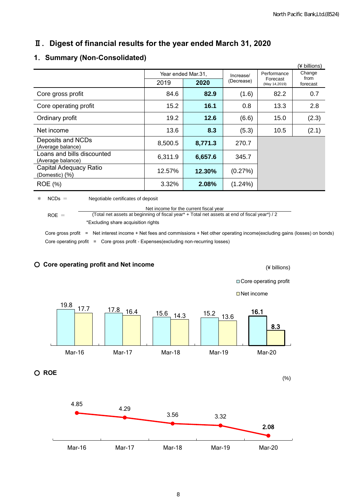# Ⅱ.**Digest of financial results for the year ended March 31, 2020**

#### **1**.**Summary (Non-Consolidated)**

|                                                 |                    |         |            |                           | (¥ billions)     |
|-------------------------------------------------|--------------------|---------|------------|---------------------------|------------------|
|                                                 | Year ended Mar.31, |         | Increase/  | Performance               | Change           |
|                                                 | 2019               | 2020    | (Decrease) | Forecast<br>(May 14,2019) | from<br>forecast |
| Core gross profit                               | 84.6               | 82.9    | (1.6)      | 82.2                      | 0.7              |
| Core operating profit                           | 15.2               | 16.1    | 0.8        | 13.3                      | 2.8              |
| Ordinary profit                                 | 19.2               | 12.6    | (6.6)      | 15.0                      | (2.3)            |
| Net income                                      | 13.6               | 8.3     | (5.3)      | 10.5                      | (2.1)            |
| Deposits and NCDs<br>(Average balance)          | 8,500.5            | 8,771.3 | 270.7      |                           |                  |
| Loans and bills discounted<br>(Average balance) | 6,311.9            | 6,657.6 | 345.7      |                           |                  |
| Capital Adequacy Ratio<br>(Domestic) (%)        | 12.57%             | 12.30%  | (0.27%)    |                           |                  |
| <b>ROE</b> (%)                                  | 3.32%              | 2.08%   | $(1.24\%)$ |                           |                  |

\* NCDs = Negotiable certificates of deposit

 $ROE =$ Net income for the current fiscal year (Total net assets at beginning of fiscal year\* + Total net assets at end of fiscal year\*) / 2 \*Excluding share acquisition rights

Core gross profit = Net interest income + Net fees and commissions + Net other operating income(excluding gains (losses) on bonds) Core operating profit = Core gross profit - Expenses(excluding non-recurring losses)



○ **Core operating profit and Net income**

(¥ billions)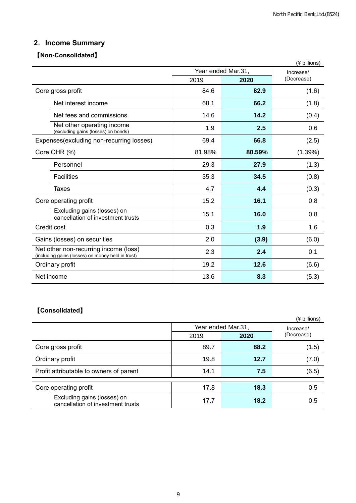# **2**.**Income Summary**

#### 【**Non-Consolidated**】

|                                                                                            |                    |           | (¥ billions) |
|--------------------------------------------------------------------------------------------|--------------------|-----------|--------------|
|                                                                                            | Year ended Mar.31, | Increase/ |              |
|                                                                                            | 2019               | 2020      | (Decrease)   |
| Core gross profit                                                                          | 84.6               | 82.9      | (1.6)        |
| Net interest income                                                                        | 68.1               | 66.2      | (1.8)        |
| Net fees and commissions                                                                   | 14.6               | 14.2      | (0.4)        |
| Net other operating income<br>(excluding gains (losses) on bonds)                          | 1.9                | 2.5       | 0.6          |
| Expenses (excluding non-recurring losses)                                                  | 69.4               | 66.8      | (2.5)        |
| Core OHR (%)                                                                               | 81.98%             | 80.59%    | (1.39%)      |
| Personnel                                                                                  | 29.3               | 27.9      | (1.3)        |
| <b>Facilities</b>                                                                          | 35.3               | 34.5      | (0.8)        |
| <b>Taxes</b>                                                                               | 4.7                | 4.4       | (0.3)        |
| Core operating profit                                                                      | 15.2               | 16.1      | 0.8          |
| Excluding gains (losses) on<br>cancellation of investment trusts                           | 15.1               | 16.0      | 0.8          |
| Credit cost                                                                                | 0.3                | 1.9       | 1.6          |
| Gains (losses) on securities                                                               | 2.0                | (3.9)     | (6.0)        |
| Net other non-recurring income (loss)<br>(including gains (losses) on money held in trust) | 2.3                | 2.4       | 0.1          |
| Ordinary profit                                                                            | 19.2               | 12.6      | (6.6)        |
| Net income                                                                                 | 13.6               | 8.3       | (5.3)        |

# 【**Consolidated**】

|                                                                  |      |                    | (¥ billions) |  |
|------------------------------------------------------------------|------|--------------------|--------------|--|
|                                                                  |      | Year ended Mar.31, | Increase/    |  |
|                                                                  | 2019 | 2020               | (Decrease)   |  |
| Core gross profit                                                | 89.7 | 88.2               | (1.5)        |  |
| Ordinary profit                                                  | 19.8 | 12.7               | (7.0)        |  |
| Profit attributable to owners of parent                          | 14.1 | 7.5                | (6.5)        |  |
| Core operating profit                                            | 17.8 | 18.3               | 0.5          |  |
| Excluding gains (losses) on<br>cancellation of investment trusts | 17.7 | 18.2               | 0.5          |  |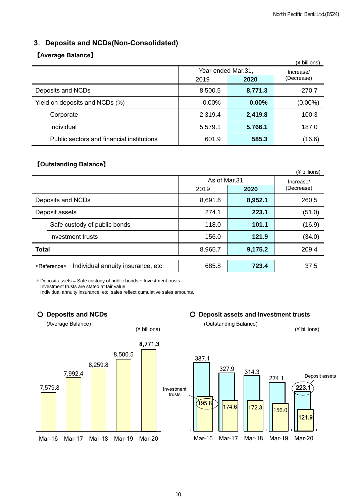#### **3**.**Deposits and NCDs(Non-Consolidated)**

#### 【**Average Balance**】

|                                           |                    |          | (¥ billions) |
|-------------------------------------------|--------------------|----------|--------------|
|                                           | Year ended Mar.31, |          | Increase/    |
|                                           | 2019               | 2020     | (Decrease)   |
| Deposits and NCDs                         | 8,500.5            | 8,771.3  | 270.7        |
| Yield on deposits and NCDs (%)            | $0.00\%$           | $0.00\%$ | $(0.00\%)$   |
| Corporate                                 | 2,319.4            | 2,419.8  | 100.3        |
| Individual                                | 5,579.1            | 5,766.1  | 187.0        |
| Public sectors and financial institutions | 601.9              | 585.3    | (16.6)       |

#### 【**Outstanding Balance**】

|                                                               |               |         | (¥ billions) |  |
|---------------------------------------------------------------|---------------|---------|--------------|--|
|                                                               | As of Mar.31, |         | Increase/    |  |
|                                                               | 2019          | 2020    | (Decrease)   |  |
| Deposits and NCDs                                             | 8,691.6       | 8,952.1 | 260.5        |  |
| Deposit assets                                                | 274.1         | 223.1   | (51.0)       |  |
| Safe custody of public bonds                                  | 118.0         | 101.1   | (16.9)       |  |
| Investment trusts                                             | 156.0         | 121.9   | (34.0)       |  |
| <b>Total</b>                                                  | 8,965.7       | 9,175.2 | 209.4        |  |
| Individual annuity insurance, etc.<br><reference></reference> | 685.8         | 723.4   | 37.5         |  |

\*Deposit assets = Safe custody of public bonds + Investment trusts

Investment trusts are stated at fair value.

Individual annuity insurance, etc. sales reflect cumulative sales amounts.

(Average Balance) (Outstanding Balance)



○ **Deposits and NCDs** ○ **Deposit assets and Investment trusts**

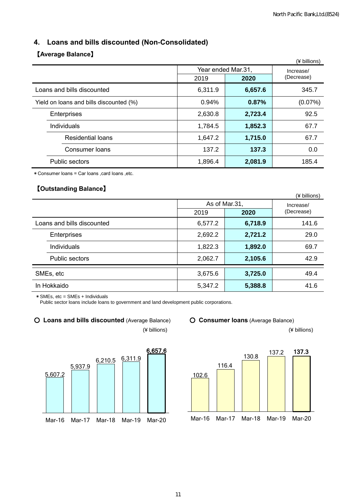# **4. Loans and bills discounted (Non-Consolidated)**

#### 【**Average Balance**】

|                                         |                    |           | (¥ billions) |  |
|-----------------------------------------|--------------------|-----------|--------------|--|
|                                         | Year ended Mar.31, | Increase/ |              |  |
|                                         | 2019<br>2020       |           | (Decrease)   |  |
| Loans and bills discounted              | 6,311.9            | 6,657.6   | 345.7        |  |
| Yield on loans and bills discounted (%) | 0.94%              | 0.87%     | (0.07%)      |  |
| Enterprises                             | 2,630.8            | 2,723.4   | 92.5         |  |
| Individuals                             | 1,784.5            | 1,852.3   | 67.7         |  |
| <b>Residential loans</b>                | 1,647.2            | 1,715.0   | 67.7         |  |
| Consumer loans                          | 137.2              | 137.3     | 0.0          |  |
| <b>Public sectors</b>                   | 1,896.4            | 2,081.9   | 185.4        |  |

\*Consumer loans = Car loans ,card loans ,etc.

#### 【**Outstanding Balance**】

|                            |         |               | (¥ billions) |  |
|----------------------------|---------|---------------|--------------|--|
|                            |         | As of Mar.31, | Increase/    |  |
|                            | 2019    | 2020          | (Decrease)   |  |
| Loans and bills discounted | 6,577.2 | 6,718.9       | 141.6        |  |
| Enterprises                | 2,692.2 | 2,721.2       | 29.0         |  |
| Individuals                | 1,822.3 | 1,892.0       | 69.7         |  |
| Public sectors             | 2,062.7 | 2,105.6       | 42.9         |  |
| SMEs, etc                  | 3,675.6 | 3,725.0       | 49.4         |  |
| In Hokkaido                | 5,347.2 | 5,388.8       | 41.6         |  |

\*SMEs, etc = SMEs + Individuals

Public sector loans include loans to government and land development public corporations.

#### ○ **Loans and bills discounted** (Average Balance) ○ **Consumer loans** (Average Balance)



(¥ billions) (¥ billions)



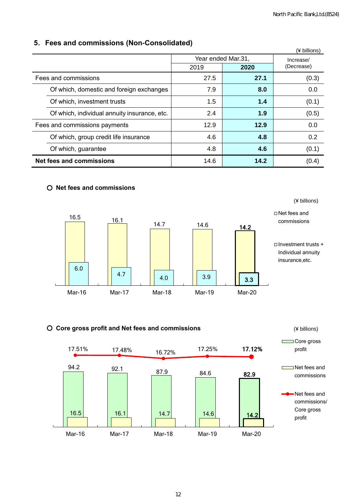(¥ billions)

#### **5**.**Fees and commissions (Non-Consolidated)**

|                                              |      |                    | (¥ billions) |
|----------------------------------------------|------|--------------------|--------------|
|                                              |      | Year ended Mar.31, | Increase/    |
|                                              | 2019 | (Decrease)         |              |
| Fees and commissions                         | 27.5 | 27.1               | (0.3)        |
| Of which, domestic and foreign exchanges     | 7.9  | 8.0                | 0.0          |
| Of which, investment trusts                  | 1.5  | 1.4                | (0.1)        |
| Of which, individual annuity insurance, etc. | 2.4  | 1.9                | (0.5)        |
| Fees and commissions payments                | 12.9 | 12.9               | 0.0          |
| Of which, group credit life insurance        | 4.6  | 4.8                | 0.2          |
| Of which, guarantee                          | 4.8  | 4.6                | (0.1)        |
| <b>Net fees and commissions</b>              | 14.6 | 14.2               | (0.4)        |

#### ○ **Net fees and commissions**



#### ○ **Core gross profit and Net fees and commissions**

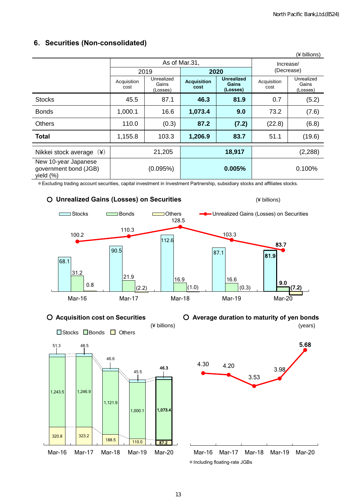| (¥ billions)                                                  |                     |                                                                        |         |                               |                     |                                 |  |
|---------------------------------------------------------------|---------------------|------------------------------------------------------------------------|---------|-------------------------------|---------------------|---------------------------------|--|
|                                                               | As of Mar.31,       |                                                                        |         |                               |                     | Increase/                       |  |
|                                                               |                     | 2019                                                                   |         | 2020                          | (Decrease)          |                                 |  |
|                                                               | Acquisition<br>cost | Unrealized<br><b>Acquisition</b><br>Gains<br>Gains<br>cost<br>(Losses) |         | <b>Unrealized</b><br>(Losses) | Acquisition<br>cost | Unrealized<br>Gains<br>(Losses) |  |
| <b>Stocks</b>                                                 | 45.5                | 87.1                                                                   | 46.3    | 81.9                          | 0.7                 | (5.2)                           |  |
| <b>Bonds</b>                                                  | 1,000.1             | 16.6                                                                   | 1,073.4 | 9.0                           | 73.2                | (7.6)                           |  |
| <b>Others</b>                                                 | 110.0               | (0.3)                                                                  | 87.2    | (7.2)                         | (22.8)              | (6.8)                           |  |
| <b>Total</b>                                                  | 1,155.8             | 103.3                                                                  | 1,206.9 | 83.7                          | 51.1                | (19.6)                          |  |
| $(\yen)$<br>Nikkei stock average                              |                     | 21,205                                                                 |         | 18,917                        |                     | (2, 288)                        |  |
| New 10-year Japanese<br>government bond (JGB)<br>yield $(\%)$ |                     | (0.095%)                                                               |         | 0.005%                        |                     | 0.100%                          |  |

#### **6**.**Securities (Non-consolidated)**

\*Excluding trading account securities, capital investment in Investment Partnership, subsidiary stocks and affiliates stocks.















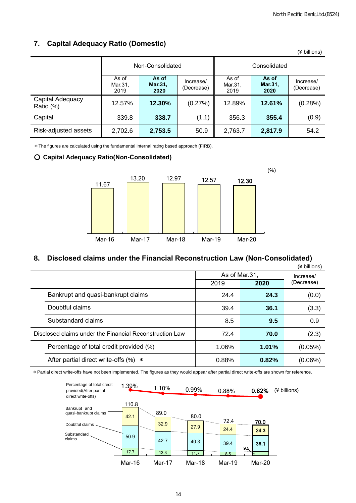(¥ billions)

|                               | Non-Consolidated         |                          |                         | Consolidated             |                          |                         |  |
|-------------------------------|--------------------------|--------------------------|-------------------------|--------------------------|--------------------------|-------------------------|--|
|                               | As of<br>Mar.31,<br>2019 | As of<br>Mar.31,<br>2020 | Increase/<br>(Decrease) | As of<br>Mar.31,<br>2019 | As of<br>Mar.31.<br>2020 | Increase/<br>(Decrease) |  |
| Capital Adequacy<br>Ratio (%) | 12.57%                   | 12.30%                   | (0.27%)                 | 12.89%                   | 12.61%                   | (0.28%)                 |  |
| Capital                       | 339.8                    | 338.7                    | (1.1)                   | 356.3                    | 355.4                    | (0.9)                   |  |
| Risk-adjusted assets          | 2,702.6                  | 2,753.5                  | 50.9                    | 2,763.7                  | 2,817.9                  | 54.2                    |  |

# **7. Capital Adequacy Ratio (Domestic)**

\*The figures are calculated using the fundamental internal rating based approach (FIRB).

#### ○ **Capital Adequacy Ratio(Non-Consolidated)**



#### **8. Disclosed claims under the Financial Reconstruction Law (Non-Consolidated)**

|                                                         |               |           | (¥ billions) |  |
|---------------------------------------------------------|---------------|-----------|--------------|--|
|                                                         | As of Mar.31, | Increase/ |              |  |
|                                                         | 2019          | 2020      | (Decrease)   |  |
| Bankrupt and quasi-bankrupt claims                      | 24.4          | 24.3      | (0.0)        |  |
| Doubtful claims                                         | 39.4          | 36.1      | (3.3)        |  |
| Substandard claims                                      | 8.5           | 9.5       | 0.9          |  |
| Disclosed claims under the Financial Reconstruction Law | 72.4          | 70.0      | (2.3)        |  |
| Percentage of total credit provided (%)                 | 1.06%         | 1.01%     | $(0.05\%)$   |  |
| After partial direct write-offs $(\%) *$                | 0.88%         | 0.82%     | $(0.06\%)$   |  |

\*Partial direct write-offs have not been implemented. The figures as they would appear after partial direct write-offs are shown for reference.